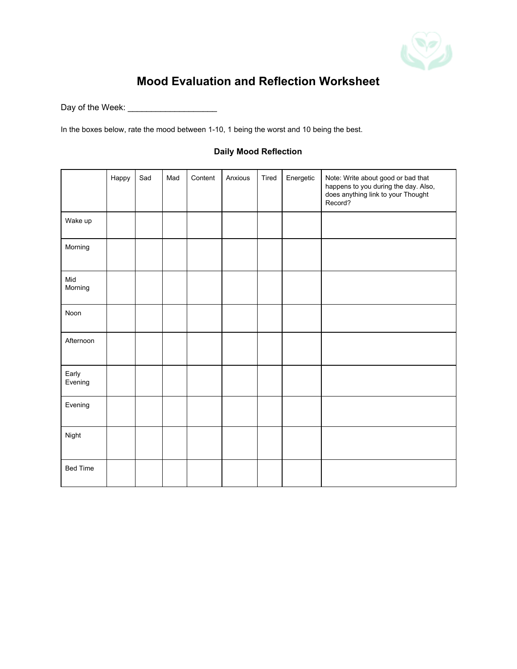

## **Mood Evaluation and Reflection Worksheet**

Day of the Week: \_\_\_\_\_\_\_\_\_\_\_\_\_\_\_\_\_\_\_

In the boxes below, rate the mood between 1-10, 1 being the worst and 10 being the best.

|                  | Happy | Sad | Mad | Content | Anxious | Tired | Energetic | Note: Write about good or bad that<br>happens to you during the day. Also,<br>does anything link to your Thought<br>Record? |
|------------------|-------|-----|-----|---------|---------|-------|-----------|-----------------------------------------------------------------------------------------------------------------------------|
| Wake up          |       |     |     |         |         |       |           |                                                                                                                             |
| Morning          |       |     |     |         |         |       |           |                                                                                                                             |
| Mid<br>Morning   |       |     |     |         |         |       |           |                                                                                                                             |
| Noon             |       |     |     |         |         |       |           |                                                                                                                             |
| Afternoon        |       |     |     |         |         |       |           |                                                                                                                             |
| Early<br>Evening |       |     |     |         |         |       |           |                                                                                                                             |
| Evening          |       |     |     |         |         |       |           |                                                                                                                             |
| Night            |       |     |     |         |         |       |           |                                                                                                                             |
| <b>Bed Time</b>  |       |     |     |         |         |       |           |                                                                                                                             |

## **Daily Mood Reflection**